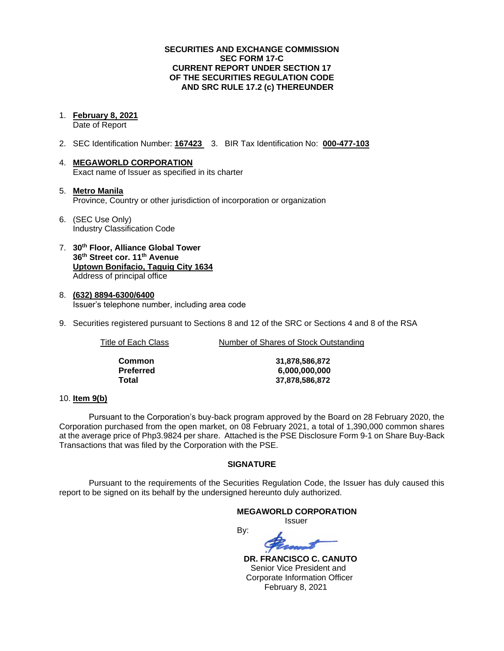## **SECURITIES AND EXCHANGE COMMISSION SEC FORM 17-C CURRENT REPORT UNDER SECTION 17 OF THE SECURITIES REGULATION CODE AND SRC RULE 17.2 (c) THEREUNDER**

#### 1. **February 8, 2021** Date of Report

- 2. SEC Identification Number: **167423** 3. BIR Tax Identification No: **000-477-103**
- 4. **MEGAWORLD CORPORATION** Exact name of Issuer as specified in its charter
- 5. **Metro Manila** Province, Country or other jurisdiction of incorporation or organization
- 6. (SEC Use Only) Industry Classification Code
- 7. **30th Floor, Alliance Global Tower 36th Street cor. 11th Avenue Uptown Bonifacio, Taguig City 1634** Address of principal office
- 8. **(632) 8894-6300/6400** Issuer's telephone number, including area code
- 9. Securities registered pursuant to Sections 8 and 12 of the SRC or Sections 4 and 8 of the RSA

Title of Each Class Number of Shares of Stock Outstanding

| Common    |
|-----------|
| Preferred |
| Total     |

**Common 31,878,586,872 Preferred 6,000,000,000 Total 37,878,586,872**

## 10. **Item 9(b)**

Pursuant to the Corporation's buy-back program approved by the Board on 28 February 2020, the Corporation purchased from the open market, on 08 February 2021, a total of 1,390,000 common shares at the average price of Php3.9824 per share. Attached is the PSE Disclosure Form 9-1 on Share Buy-Back Transactions that was filed by the Corporation with the PSE.

## **SIGNATURE**

Pursuant to the requirements of the Securities Regulation Code, the Issuer has duly caused this report to be signed on its behalf by the undersigned hereunto duly authorized.

By:

## **MEGAWORLD CORPORATION**

Issuer

 **DR. FRANCISCO C. CANUTO** Senior Vice President and Corporate Information Officer February 8, 2021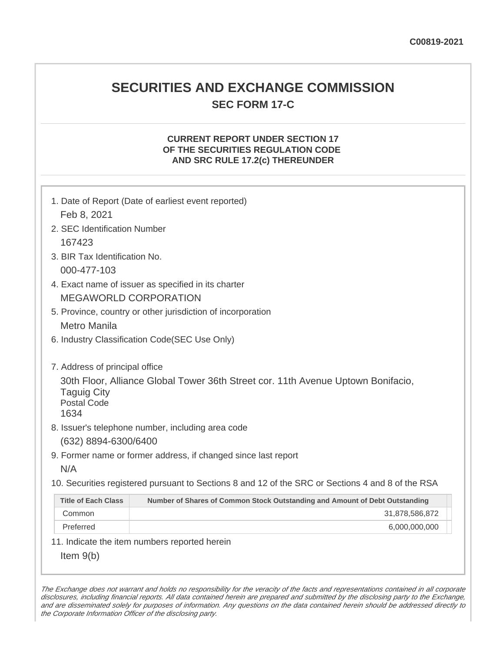## **SECURITIES AND EXCHANGE COMMISSION SEC FORM 17-C**

## **CURRENT REPORT UNDER SECTION 17 OF THE SECURITIES REGULATION CODE AND SRC RULE 17.2(c) THEREUNDER**

| Feb 8, 2021                                                                        | 1. Date of Report (Date of earliest event reported)                                               |  |  |
|------------------------------------------------------------------------------------|---------------------------------------------------------------------------------------------------|--|--|
| 2. SEC Identification Number                                                       |                                                                                                   |  |  |
| 167423                                                                             |                                                                                                   |  |  |
| 3. BIR Tax Identification No.                                                      |                                                                                                   |  |  |
| 000-477-103                                                                        |                                                                                                   |  |  |
| 4. Exact name of issuer as specified in its charter                                |                                                                                                   |  |  |
|                                                                                    |                                                                                                   |  |  |
|                                                                                    | <b>MEGAWORLD CORPORATION</b>                                                                      |  |  |
|                                                                                    | 5. Province, country or other jurisdiction of incorporation                                       |  |  |
|                                                                                    | Metro Manila                                                                                      |  |  |
|                                                                                    | 6. Industry Classification Code(SEC Use Only)                                                     |  |  |
| 7. Address of principal office<br><b>Taguig City</b><br><b>Postal Code</b><br>1634 | 30th Floor, Alliance Global Tower 36th Street cor. 11th Avenue Uptown Bonifacio,                  |  |  |
|                                                                                    | 8. Issuer's telephone number, including area code                                                 |  |  |
| (632) 8894-6300/6400                                                               |                                                                                                   |  |  |
|                                                                                    | 9. Former name or former address, if changed since last report                                    |  |  |
| N/A                                                                                |                                                                                                   |  |  |
|                                                                                    | 10. Securities registered pursuant to Sections 8 and 12 of the SRC or Sections 4 and 8 of the RSA |  |  |
| <b>Title of Each Class</b>                                                         | Number of Shares of Common Stock Outstanding and Amount of Debt Outstanding                       |  |  |
| Common                                                                             | 31,878,586,872                                                                                    |  |  |
| Preferred                                                                          | 6,000,000,000                                                                                     |  |  |
|                                                                                    | 11. Indicate the item numbers reported herein                                                     |  |  |
| Item $9(b)$                                                                        |                                                                                                   |  |  |

The Exchange does not warrant and holds no responsibility for the veracity of the facts and representations contained in all corporate disclosures, including financial reports. All data contained herein are prepared and submitted by the disclosing party to the Exchange, and are disseminated solely for purposes of information. Any questions on the data contained herein should be addressed directly to the Corporate Information Officer of the disclosing party.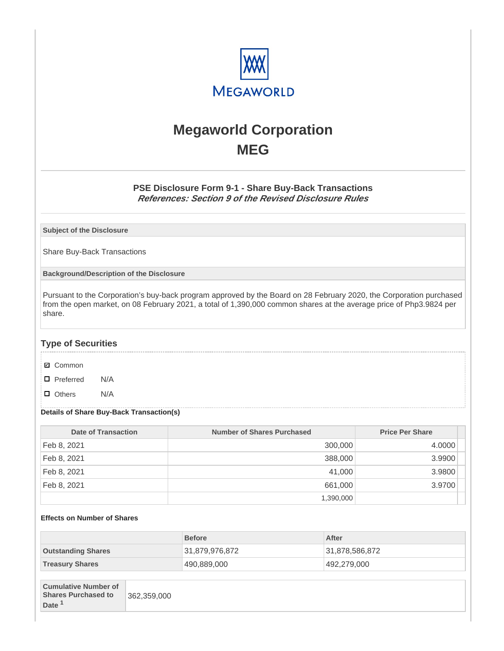

# **Megaworld Corporation MEG**

## **PSE Disclosure Form 9-1 - Share Buy-Back Transactions References: Section 9 of the Revised Disclosure Rules**

**Subject of the Disclosure**

Share Buy-Back Transactions

**Background/Description of the Disclosure**

Pursuant to the Corporation's buy-back program approved by the Board on 28 February 2020, the Corporation purchased from the open market, on 08 February 2021, a total of 1,390,000 common shares at the average price of Php3.9824 per share.

## **Type of Securities**

- **☑** Common
- □ Preferred N/A
- D Others N/A

#### **Details of Share Buy-Back Transaction(s)**

| Date of Transaction | Number of Shares Purchased | <b>Price Per Share</b> |
|---------------------|----------------------------|------------------------|
| Feb 8, 2021         | 300,000                    | 4.0000                 |
| Feb 8, 2021         | 388,000                    | 3.9900                 |
| Feb 8, 2021         | 41,000                     | 3.9800                 |
| Feb 8, 2021         | 661,000                    | 3.9700                 |
|                     | 1,390,000                  |                        |

#### **Effects on Number of Shares**

|                           | <b>Before</b>  | After          |
|---------------------------|----------------|----------------|
| <b>Outstanding Shares</b> | 31,879,976,872 | 31,878,586,872 |
| <b>Treasury Shares</b>    | 490,889,000    | 492,279,000    |

| <b>Cumulative Number of</b> |             |
|-----------------------------|-------------|
| <b>Shares Purchased to</b>  | 362,359,000 |
| Date <sup>1</sup>           |             |